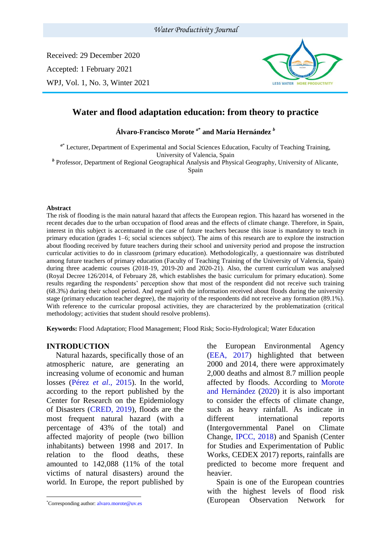Received: 29 December 2020 Accepted: 1 February 2021 WPJ, Vol. 1, No. 3, Winter 2021



# **Water and flood adaptation education: from theory to practice**

**Álvaro-Francisco Morote** *<sup>a</sup>***\* and María Hernández** *<sup>b</sup>*

<sup>a\*</sup> Lecturer, Department of Experimental and Social Sciences Education, Faculty of Teaching Training, University of Valencia, Spain

*b* Professor, Department of Regional Geographical Analysis and Physical Geography, University of Alicante,

Spain

#### **Abstract**

The risk of flooding is the main natural hazard that affects the European region. This hazard has worsened in the recent decades due to the urban occupation of flood areas and the effects of climate change. Therefore, in Spain, interest in this subject is accentuated in the case of future teachers because this issue is mandatory to teach in primary education (grades 1–6; social sciences subject). The aims of this research are to explore the instruction about flooding received by future teachers during their school and university period and propose the instruction curricular activities to do in classroom (primary education). Methodologically, a questionnaire was distributed among future teachers of primary education (Faculty of Teaching Training of the University of Valencia, Spain) during three academic courses (2018-19, 2019-20 and 2020-21). Also, the current curriculum was analysed (Royal Decree 126/2014, of February 28, which establishes the basic curriculum for primary education). Some results regarding the respondents' perception show that most of the respondent did not receive such training (68.3%) during their school period. And regard with the information received about floods during the university stage (primary education teacher degree), the majority of the respondents did not receive any formation (89.1%). With reference to the curricular proposal activities, they are characterized by the problematization (critical methodology; activities that student should resolve problems).

**Keywords:** Flood Adaptation; Flood Management; Flood Risk; Socio-Hydrological; Water Education

### **INTRODUCTION<sup>1</sup>**

Natural hazards, specifically those of an atmospheric nature, are generating an increasing volume of economic and human losses (Pérez *et al*., 2015). In the world, according to the report published by the Center for Research on the Epidemiology of Disasters (CRED, 2019), floods are the most frequent natural hazard (with a percentage of 43% of the total) and affected majority of people (two billion inhabitants) between 1998 and 2017. In relation to the flood deaths, these amounted to 142,088 (11% of the total victims of natural disasters) around the world. In Europe, the report published by

the European Environmental Agency (EEA, 2017) highlighted that between 2000 and 2014, there were approximately 2,000 deaths and almost 8.7 million people affected by floods. According to Morote and Hernández (2020) it is also important to consider the effects of climate change, such as heavy rainfall. As indicate in different international reports [\(Intergovernmental Panel on Climate](https://www.ipcc.ch/home_languages_main_spanish.shtml)  [Change,](https://www.ipcc.ch/home_languages_main_spanish.shtml) IPCC, 2018) and Spanish (Center for Studies and Experimentation of Public Works, CEDEX 2017) reports, rainfalls are predicted to become more frequent and heavier.

Spain is one of the European countries with the highest levels of flood risk (European Observation Network for

<sup>\*</sup>Corresponding author: alvaro.morote@uv.es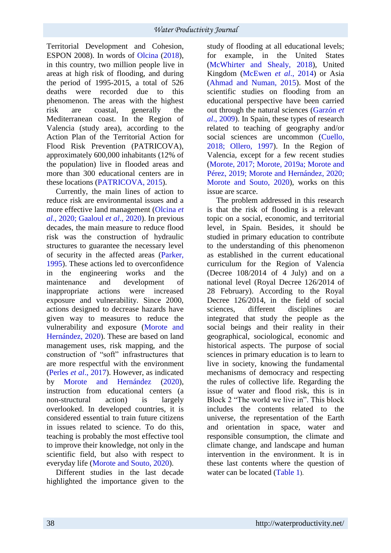Territorial Development and Cohesion, ESPON 2008). In words of Olcina (2018), in this country, two million people live in areas at high risk of flooding, and during the period of 1995-2015, a total of 526 deaths were recorded due to this phenomenon. The areas with the highest risk are coastal, generally the Mediterranean coast. In the Region of Valencia (study area), according to the Action Plan of the Territorial Action for Flood Risk Prevention (PATRICOVA), approximately 600,000 inhabitants (12% of the population) live in flooded areas and more than 300 educational centers are in these locations (PATRICOVA, 2015).

Currently, the main lines of action to reduce risk are environmental issues and a more effective land management (Olcina *et al*., 2020; Gaaloul *et al*., 2020). In previous decades, the main measure to reduce flood risk was the construction of hydraulic structures to guarantee the necessary level of security in the affected areas (Parker, 1995). These actions led to overconfidence in the engineering works and the maintenance and development of inappropriate actions were increased exposure and vulnerability. Since 2000, actions designed to decrease hazards have given way to measures to reduce the vulnerability and exposure (Morote and Hernández, 2020). These are based on land management uses, risk mapping, and the construction of "soft" infrastructures that are more respectful with the environment (Perles *et al*., 2017). However, as indicated by Morote and Hernández (2020), instruction from educational centers (a non-structural action) is largely overlooked. In developed countries, it is considered essential to train future citizens in issues related to science. To do this, teaching is probably the most effective tool to improve their knowledge, not only in the scientific field, but also with respect to everyday life (Morote and Souto, 2020).

Different studies in the last decade highlighted the importance given to the study of flooding at all educational levels; for example, in the United States (McWhirter and Shealy, 2018), United Kingdom (McEwen *et al*., 2014) or Asia (Ahmad and Numan, 2015). Most of the scientific studies on flooding from an educational perspective have been carried out through the natural sciences (Garzón *et al*., 2009). In Spain, these types of research related to teaching of geography and/or social sciences are uncommon (Cuello, 2018; Ollero, 1997). In the Region of Valencia, except for a few recent studies (Morote, 2017; Morote, 2019a; Morote and Pérez, 2019; Morote and Hernández, 2020; Morote and Souto, 2020), works on this issue are scarce.

The problem addressed in this research is that the risk of flooding is a relevant topic on a social, economic, and territorial level, in Spain. Besides, it should be studied in primary education to contribute to the understanding of this phenomenon as established in the current educational curriculum for the Region of Valencia (Decree 108/2014 of 4 July) and on a national level (Royal Decree 126/2014 of 28 February). According to the Royal Decree 126/2014, in the field of social sciences, different disciplines are integrated that study the people as the social beings and their reality in their geographical, sociological, economic and historical aspects. The purpose of social sciences in primary education is to learn to live in society, knowing the fundamental mechanisms of democracy and respecting the rules of collective life. Regarding the issue of water and flood risk, this is in Block 2 "The world we live in". This block includes the contents related to the universe, the representation of the Earth and orientation in space, water and responsible consumption, the climate and climate change, and landscape and human intervention in the environment. It is in these last contents where the question of water can be located (Table 1).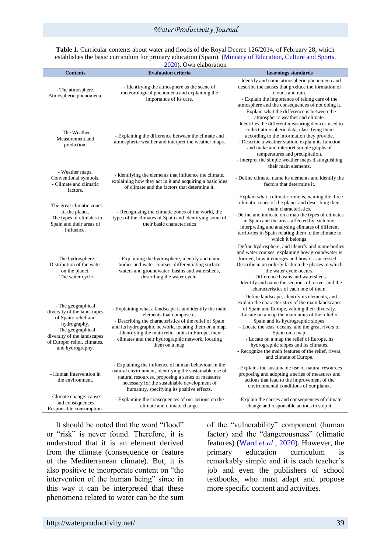| <b>Contents</b>                                                                                                                                                                                    | <b>Evaluation criteria</b>                                                                                                                                                                                                                                                                                                            | <b>Learnings standards</b>                                                                                                                                                                                                                                                                                                                                                                                                                                                                         |
|----------------------------------------------------------------------------------------------------------------------------------------------------------------------------------------------------|---------------------------------------------------------------------------------------------------------------------------------------------------------------------------------------------------------------------------------------------------------------------------------------------------------------------------------------|----------------------------------------------------------------------------------------------------------------------------------------------------------------------------------------------------------------------------------------------------------------------------------------------------------------------------------------------------------------------------------------------------------------------------------------------------------------------------------------------------|
| - The atmosphere.<br>Atmospheric phenomena.                                                                                                                                                        | - Identifying the atmosphere as the scene of<br>meteorological phenomena and explaining the<br>importance of its care.                                                                                                                                                                                                                | - Identify and name atmospheric phenomena and<br>describe the causes that produce the formation of<br>clouds and rain.<br>- Explain the importance of taking care of the<br>atmosphere and the consequences of not doing it.<br>- Explain what the difference is between the                                                                                                                                                                                                                       |
| - The Weather.<br>Measurement and<br>prediction.                                                                                                                                                   | - Explaining the difference between the climate and<br>atmospheric weather and interpret the weather maps.                                                                                                                                                                                                                            | atmospheric weather and climate.<br>- Identifies the different measuring devices used to<br>collect atmospheric data, classifying them<br>according to the information they provide.<br>- Describe a weather station, explain its function<br>and make and interpret simple graphs of<br>temperatures and precipitation.<br>- Interpret the simple weather maps distinguishing<br>their main elements.                                                                                             |
| - Weather maps.<br>Conventional symbols.<br>- Climate and climatic<br>factors.                                                                                                                     | - Identifying the elements that influence the climate,<br>explaining how they act in it and acquiring a basic idea<br>of climate and the factors that determine it.                                                                                                                                                                   | - Define climate, name its elements and identify the<br>factors that determine it.                                                                                                                                                                                                                                                                                                                                                                                                                 |
| - The great climatic zones<br>of the planet.<br>- The types of climates in<br>Spain and their areas of<br>influence.                                                                               | - Recognizing the climatic zones of the world, the<br>types of the climates of Spain and identifying some of<br>their basic characteristics                                                                                                                                                                                           | - Explain what a climatic zone is, naming the three<br>climatic zones of the planet and describing their<br>main characteristics.<br>-Define and indicate on a map the types of climates<br>in Spain and the areas affected by each one,<br>interpreting and analysing climates of different<br>territories in Spain relating them to the climate to<br>which it belongs.                                                                                                                          |
| - The hydrosphere.<br>Distribution of the water<br>on the planet.<br>- The water cycle.                                                                                                            | - Explaining the hydrosphere, identify and name<br>bodies and water courses, differentiating surface<br>waters and groundwater, basins and watersheds,<br>describing the water cycle.                                                                                                                                                 | - Define hydrosphere, and identify and name bodies<br>and water courses, explaining how groundwater is<br>formed, how it emerges and how it is accessed. -<br>Describe in an orderly fashion the phases in which<br>the water cycle occurs.<br>- Difference basins and watersheds.<br>- Identify and name the sections of a river and the<br>characteristics of each one of them.                                                                                                                  |
| - The geographical<br>diversity of the landscapes<br>of Spain: relief and<br>hydrography.<br>- The geographical<br>diversity of the landscapes<br>of Europe: relief, climates,<br>and hydrography. | - Explaining what a landscape is and identify the main<br>elements that compose it.<br>- Describing the characteristics of the relief of Spain<br>and its hydrographic network, locating them on a map.<br>-Identifying the main relief units in Europe, their<br>climates and their hydrographic network, locating<br>them on a map. | - Define landscape, identify its elements, and<br>explain the characteristics of the main landscapes<br>of Spain and Europe, valuing their diversity.<br>-Locate on a map the main units of the relief of<br>Spain and its hydrographic slopes.<br>- Locate the seas, oceans, and the great rivers of<br>Spain on a map.<br>- Locate on a map the relief of Europe, its<br>hydrographic slopes and its climates.<br>- Recognize the main features of the relief, rivers,<br>and climate of Europe. |
| - Human intervention in<br>the environment.                                                                                                                                                        | - Explaining the influence of human behaviour in the<br>natural environment, identifying the sustainable use of<br>natural resources, proposing a series of measures<br>necessary for the sustainable development of<br>humanity, specifying its positive effects.                                                                    | - Explains the sustainable use of natural resources<br>proposing and adopting a series of measures and<br>actions that lead to the improvement of the<br>environmental conditions of our planet.                                                                                                                                                                                                                                                                                                   |
| - Climate change: causes<br>and consequences<br>Responsible consumption.                                                                                                                           | - Explaining the consequences of our actions on the<br>climate and climate change.                                                                                                                                                                                                                                                    | - Explain the causes and consequences of climate<br>change and responsible actions to stop it.                                                                                                                                                                                                                                                                                                                                                                                                     |

**Table 1.** Curricular contents about water and floods of the Royal Decree 126/2014, of February 28, which establishes the basic curriculum for primary education (Spain). (Ministry of Education, Culture and Sports, 2020). Own elaboration

It should be noted that the word "flood" or "risk" is never found. Therefore, it is understood that it is an element derived from the climate (consequence or feature of the Mediterranean climate). But, it is also positive to incorporate content on "the intervention of the human being" since in this way it can be interpreted that these phenomena related to water can be the sum

of the "vulnerability" component (human factor) and the "dangerousness" (climatic features) (Ward *et al*., 2020). However, the primary education curriculum is remarkably simple and it is each teacher's job and even the publishers of school textbooks, who must adapt and propose more specific content and activities.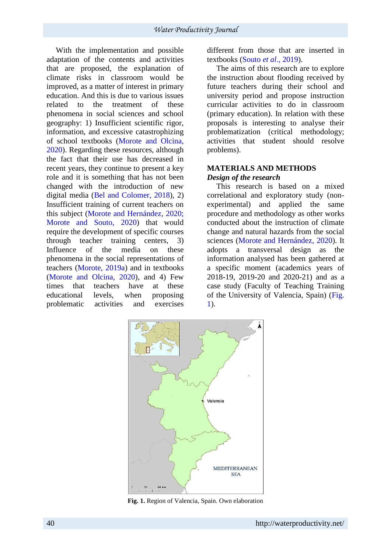With the implementation and possible adaptation of the contents and activities that are proposed, the explanation of climate risks in classroom would be improved, as a matter of interest in primary education. And this is due to various issues related to the treatment of these phenomena in social sciences and school geography: 1) Insufficient scientific rigor, information, and excessive catastrophizing of school textbooks (Morote and Olcina, 2020). Regarding these resources, although the fact that their use has decreased in recent years, they continue to present a key role and it is something that has not been changed with the introduction of new digital media (Bel and Colomer, 2018), 2) Insufficient training of current teachers on this subject (Morote and Hernández, 2020; Morote and Souto, 2020) that would require the development of specific courses through teacher training centers, 3) Influence of the media on these phenomena in the social representations of teachers (Morote, 2019a) and in textbooks (Morote and Olcina, 2020), and 4) Few times that teachers have at these educational levels, when proposing problematic activities and exercises

different from those that are inserted in textbooks (Souto *et al*., 2019).

The aims of this research are to explore the instruction about flooding received by future teachers during their school and university period and propose instruction curricular activities to do in classroom (primary education). In relation with these proposals is interesting to analyse their problematization (critical methodology; activities that student should resolve problems).

# **MATERIALS AND METHODS** *Design of the research*

This research is based on a mixed correlational and exploratory study (nonexperimental) and applied the same procedure and methodology as other works conducted about the instruction of climate change and natural hazards from the social sciences (Morote and Hernández, 2020). It adopts a transversal design as the information analysed has been gathered at a specific moment (academics years of 2018-19, 2019-20 and 2020-21) and as a case study (Faculty of Teaching Training of the University of Valencia, Spain) (Fig. 1).



**Fig. 1.** Region of Valencia, Spain. Own elaboration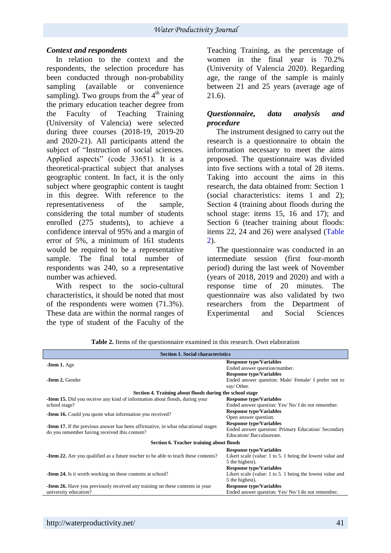## *Context and respondents*

In relation to the context and the respondents, the selection procedure has been conducted through non-probability sampling (available or convenience sampling). Two groups from the  $4<sup>th</sup>$  year of the primary education teacher degree from the Faculty of Teaching Training (University of Valencia) were selected during three courses (2018-19, 2019-20 and 2020-21). All participants attend the subject of "Instruction of social sciences. Applied aspects" (code 33651). It is a theoretical-practical subject that analyses geographic content. In fact, it is the only subject where geographic content is taught in this degree. With reference to the representativeness of the sample, considering the total number of students enrolled (275 students), to achieve a confidence interval of 95% and a margin of error of 5%, a minimum of 161 students would be required to be a representative sample. The final total number of respondents was 240, so a representative number was achieved.

With respect to the socio-cultural characteristics, it should be noted that most of the respondents were women (71.3%). These data are within the normal ranges of the type of student of the Faculty of the Teaching Training, as the percentage of women in the final year is 70.2% (University of Valencia 2020). Regarding age, the range of the sample is mainly between 21 and 25 years (average age of 21.6).

## *Questionnaire, data analysis and procedure*

The instrument designed to carry out the research is a questionnaire to obtain the information necessary to meet the aims proposed. The questionnaire was divided into five sections with a total of 28 items. Taking into account the aims in this research, the data obtained from: Section 1 (social characteristics: items 1 and 2); Section 4 (training about floods during the school stage: items 15, 16 and 17); and Section 6 (teacher training about floods: items 22, 24 and 26) were analysed (Table 2).

The questionnaire was conducted in an intermediate session (first four-month period) during the last week of November (years of 2018, 2019 and 2020) and with a response time of 20 minutes. The questionnaire was also validated by two researchers from the Department of Experimental and Social Sciences

| <b>Section 1. Social characteristics</b>                                                   |                                                           |  |  |  |
|--------------------------------------------------------------------------------------------|-----------------------------------------------------------|--|--|--|
| - <b>Item 1.</b> Age                                                                       | <b>Response type/Variables</b>                            |  |  |  |
|                                                                                            | Ended answer question/number.                             |  |  |  |
|                                                                                            | <b>Response type/Variables</b>                            |  |  |  |
| -Item 2. Gender                                                                            | Ended answer question: Male/ Female/ I prefer not to      |  |  |  |
|                                                                                            | say/ Other.                                               |  |  |  |
| Section 4. Training about floods during the school stage                                   |                                                           |  |  |  |
| <b>-Item 15.</b> Did you receive any kind of information about floods, during your         | <b>Response type/Variables</b>                            |  |  |  |
| school stage?                                                                              | Ended answer question: Yes/ No/ I do not remember.        |  |  |  |
|                                                                                            | <b>Response type/Variables</b>                            |  |  |  |
| <b>-Item 16.</b> Could you quote what information you received?                            | Open answer question.                                     |  |  |  |
|                                                                                            | <b>Response type/Variables</b>                            |  |  |  |
| <b>-Item 17.</b> If the previous answer has been affirmative, in what educational stages   | Ended answer question: Primary Education/ Secondary       |  |  |  |
| do you remember having received this content?                                              | Education/Baccalaureate.                                  |  |  |  |
| Section 6. Teacher training about floods                                                   |                                                           |  |  |  |
|                                                                                            | <b>Response type/Variables</b>                            |  |  |  |
| <b>-Item 22.</b> Are you qualified as a future teacher to be able to teach these contents? | Likert scale (value: 1 to 5. 1 being the lowest value and |  |  |  |
|                                                                                            | 5 the highest).                                           |  |  |  |
|                                                                                            | <b>Response type/Variables</b>                            |  |  |  |
| <b>-Item 24.</b> Is it worth working on these contents at school?                          | Likert scale (value: 1 to 5. 1 being the lowest value and |  |  |  |
|                                                                                            | 5 the highest).                                           |  |  |  |
| <b>-Item 26.</b> Have you previously received any training on these contents in your       | <b>Response type/Variables</b>                            |  |  |  |
| university education?                                                                      | Ended answer question: Yes/No/I do not remember.          |  |  |  |
|                                                                                            |                                                           |  |  |  |

Table 2. Items of the questionnaire examined in this research. Own elaboration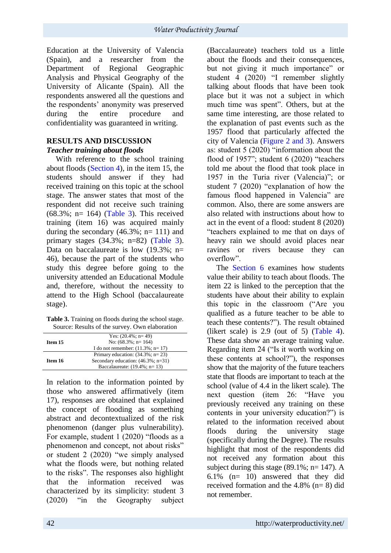Education at the University of Valencia (Spain), and a researcher from the Department of Regional Geographic Regional Geographic Analysis and Physical Geography of the University of Alicante (Spain). All the respondents answered all the questions and the respondents' anonymity was preserved during the entire procedure and confidentiality was guaranteed in writing.

## **RESULTS AND DISCUSSION** *Teacher training about floods*

With reference to the school training about floods (Section 4), in the item 15, the students should answer if they had received training on this topic at the school stage. The answer states that most of the respondent did not receive such training  $(68.3\%; n= 164)$  (Table 3). This received training (item 16) was acquired mainly during the secondary  $(46.3\%; n=111)$  and primary stages (34.3%; n=82) (Table 3). Data on baccalaureate is low  $(19.3\% \div n=$ 46), because the part of the students who study this degree before going to the university attended an Educational Module and, therefore, without the necessity to attend to the High School (baccalaureate stage).

| <b>Table 3.</b> Training on floods during the school stage. |  |
|-------------------------------------------------------------|--|
| Source: Results of the survey. Own elaboration              |  |

|         | Yes: $(20.4\%; n=49)$                 |  |
|---------|---------------------------------------|--|
| Item 15 | No: $(68.3\%; n=164)$                 |  |
|         | I do not remember: $(11.3\%; n=17)$   |  |
|         | Primary education: $(34.3\%; n=23)$   |  |
| Item 16 | Secondary education: $(46.3\%; n=31)$ |  |
|         | Baccalaureate: $(19.4\%; n=13)$       |  |
|         |                                       |  |

In relation to the information pointed by those who answered affirmatively (item 17), responses are obtained that explained the concept of flooding as something abstract and decontextualized of the risk phenomenon (danger plus vulnerability). For example, student 1 (2020) "floods as a phenomenon and concept, not about risks" or student 2 (2020) "we simply analysed what the floods were, but nothing related to the risks". The responses also highlight that the information received was characterized by its simplicity: student 3 (2020) "in the Geography subject

(Baccalaureate) teachers told us a little about the floods and their consequences, but not giving it much importance" or student 4 (2020) "I remember slightly talking about floods that have been took place but it was not a subject in which much time was spent". Others, but at the same time interesting, are those related to the explanation of past events such as the 1957 flood that particularly affected the city of Valencia (Figure 2 and 3). Answers as: student 5 (2020) "information about the flood of 1957"; student 6 (2020) "teachers told me about the flood that took place in 1957 in the Turia river (Valencia)"; or student 7 (2020) "explanation of how the famous flood happened in Valencia" are common. Also, there are some answers are also related with instructions about how to act in the event of a flood: student 8 (2020) "teachers explained to me that on days of heavy rain we should avoid places near ravines or rivers because they can overflow".

The Section 6 examines how students value their ability to teach about floods. The item 22 is linked to the perception that the students have about their ability to explain this topic in the classroom ("Are you qualified as a future teacher to be able to teach these contents?"). The result obtained (likert scale) is  $2.9$  (out of 5) (Table 4). These data show an average training value. Regarding item 24 ("Is it worth working on these contents at school?"), the responses show that the majority of the future teachers state that floods are important to teach at the school (value of 4.4 in the likert scale). The next question (item 26: "Have you previously received any training on these contents in your university education?") is related to the information received about floods during the university stage (specifically during the Degree). The results highlight that most of the respondents did not received any formation about this subject during this stage  $(89.1\%; n=147)$ . A 6.1% (n= 10) answered that they did received formation and the  $4.8\%$  (n= 8) did not remember.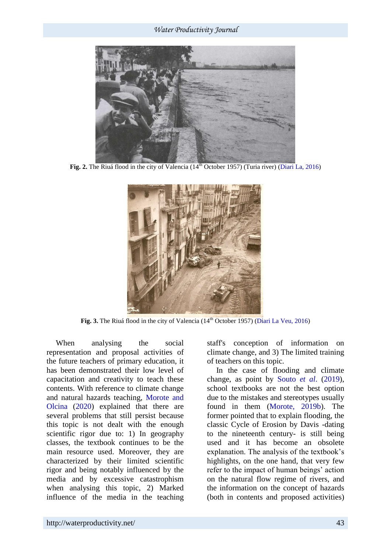*Water Productivity Journal*



**Fig. 2.** The Riuá flood in the city of Valencia (14<sup>th</sup> October 1957) (Turia river) (Diari La, 2016)



Fig. 3. The Riuá flood in the city of Valencia (14<sup>th</sup> October 1957) (Diari La Veu, 2016)

When analysing the social representation and proposal activities of the future teachers of primary education, it has been demonstrated their low level of capacitation and creativity to teach these contents. With reference to climate change and natural hazards teaching, Morote and Olcina (2020) explained that there are several problems that still persist because this topic is not dealt with the enough scientific rigor due to: 1) In geography classes, the textbook continues to be the main resource used. Moreover, they are characterized by their limited scientific rigor and being notably influenced by the media and by excessive catastrophism when analysing this topic, 2) Marked influence of the media in the teaching staff's conception of information on climate change, and 3) The limited training of teachers on this topic.

In the case of flooding and climate change, as point by Souto *et al*. (2019), school textbooks are not the best option due to the mistakes and stereotypes usually found in them (Morote, 2019b). The former pointed that to explain flooding, the classic Cycle of Erosion by Davis -dating to the nineteenth century- is still being used and it has become an obsolete explanation. The analysis of the textbook's highlights, on the one hand, that very few refer to the impact of human beings' action on the natural flow regime of rivers, and the information on the concept of hazards (both in contents and proposed activities)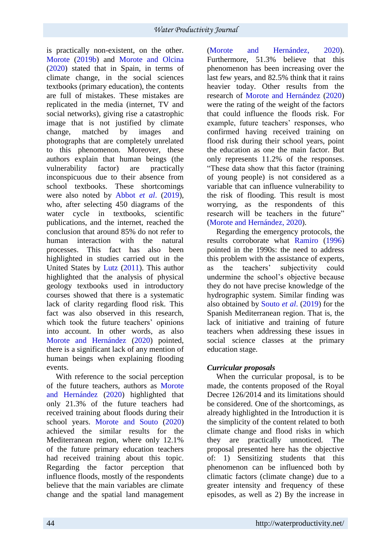is practically non-existent, on the other. Morote (2019b) and Morote and Olcina (2020) stated that in Spain, in terms of climate change, in the social sciences textbooks (primary education), the contents are full of mistakes. These mistakes are replicated in the media (internet, TV and social networks), giving rise a catastrophic image that is not justified by climate change, matched by images and photographs that are completely unrelated to this phenomenon. Moreover, these authors explain that human beings (the vulnerability factor) are practically inconspicuous due to their absence from school textbooks. These shortcomings were also noted by Abbot *et al*. (2019), who, after selecting 450 diagrams of the water cycle in textbooks, scientific publications, and the internet, reached the conclusion that around 85% do not refer to human interaction with the natural processes. This fact has also been highlighted in studies carried out in the United States by Lutz (2011). This author highlighted that the analysis of physical geology textbooks used in introductory courses showed that there is a systematic lack of clarity regarding flood risk. This fact was also observed in this research, which took the future teachers' opinions into account. In other words, as also Morote and Hernández (2020) pointed, there is a significant lack of any mention of human beings when explaining flooding events.

With reference to the social perception of the future teachers, authors as Morote and Hernández (2020) highlighted that only 21.3% of the future teachers had received training about floods during their school years. Morote and Souto (2020) achieved the similar results for the Mediterranean region, where only 12.1% of the future primary education teachers had received training about this topic. Regarding the factor perception that influence floods, mostly of the respondents believe that the main variables are climate change and the spatial land management (Morote and Hernández, 2020). Furthermore, 51.3% believe that this phenomenon has been increasing over the last few years, and 82.5% think that it rains heavier today. Other results from the research of Morote and Hernández (2020) were the rating of the weight of the factors that could influence the floods risk. For example, future teachers' responses, who confirmed having received training on flood risk during their school years, point the education as one the main factor. But only represents 11.2% of the responses. "These data show that this factor (training of young people) is not considered as a variable that can influence vulnerability to the risk of flooding. This result is most worrying, as the respondents of this research will be teachers in the future" (Morote and Hernández, 2020).

Regarding the emergency protocols, the results corroborate what Ramiro (1996) pointed in the 1990s: the need to address this problem with the assistance of experts, as the teachers' subjectivity could undermine the school's objective because they do not have precise knowledge of the hydrographic system. Similar finding was also obtained by Souto *et al*. (2019) for the Spanish Mediterranean region. That is, the lack of initiative and training of future teachers when addressing these issues in social science classes at the primary education stage.

# *Curricular proposals*

When the curricular proposal, is to be made, the contents proposed of the Royal Decree 126/2014 and its limitations should be considered. One of the shortcomings, as already highlighted in the Introduction it is the simplicity of the content related to both climate change and flood risks in which they are practically unnoticed. The proposal presented here has the objective of: 1) Sensitizing students that this phenomenon can be influenced both by climatic factors (climate change) due to a greater intensity and frequency of these episodes, as well as 2) By the increase in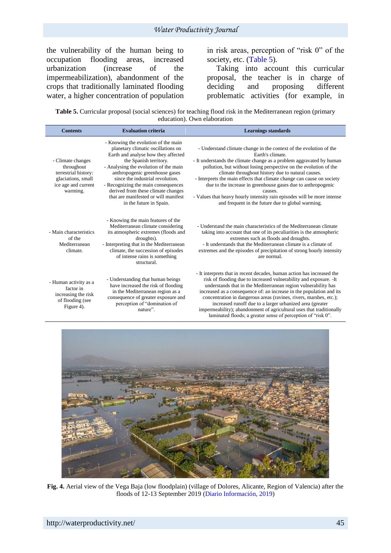the vulnerability of the human being to occupation flooding areas, increased<br>urbanization (increase of the urbanization (increase of the impermeabilization), abandonment of the crops that traditionally laminated flooding water, a higher concentration of population in risk areas, perception of "risk 0" of the society, etc. (Table 5).

Taking into account this curricular proposal, the teacher is in charge of deciding and proposing different problematic activities (for example, in

Table 5. Curricular proposal (social sciences) for teaching flood risk in the Mediterranean region (primary education). Own elaboration

| <b>Contents</b>                                                                                                  | <b>Evaluation criteria</b>                                                                                                                                                                                                                                                                                                                                                                                | <b>Learnings standards</b>                                                                                                                                                                                                                                                                                                                                                                                                                                                                                                                                                    |
|------------------------------------------------------------------------------------------------------------------|-----------------------------------------------------------------------------------------------------------------------------------------------------------------------------------------------------------------------------------------------------------------------------------------------------------------------------------------------------------------------------------------------------------|-------------------------------------------------------------------------------------------------------------------------------------------------------------------------------------------------------------------------------------------------------------------------------------------------------------------------------------------------------------------------------------------------------------------------------------------------------------------------------------------------------------------------------------------------------------------------------|
| - Climate changes<br>throughout<br>terrestrial history:<br>glaciations, small<br>ice age and current<br>warming. | - Knowing the evolution of the main<br>planetary climatic oscillations on<br>Earth and analyse how they affected<br>the Spanish territory.<br>- Analysing the evolution of the main<br>anthropogenic greenhouse gases<br>since the industrial revolution.<br>- Recognizing the main consequences<br>derived from these climate changes<br>that are manifested or will manifest<br>in the future in Spain. | - Understand climate change in the context of the evolution of the<br>Earth's climate.<br>- It understands the climate change as a problem aggravated by human<br>pollution, but without losing perspective on the evolution of the<br>climate throughout history due to natural causes.<br>- Interprets the main effects that climate change can cause on society<br>due to the increase in greenhouse gases due to anthropogenic<br>causes.<br>- Values that heavy hourly intensity rain episodes will be more intense<br>and frequent in the future due to global warming. |
| - Main characteristics<br>of the<br>Mediterranean<br>climate.                                                    | - Knowing the main features of the<br>Mediterranean climate considering<br>its atmospheric extremes (floods and<br>droughts).<br>- Interpreting that in the Mediterranean<br>climate, the succession of episodes<br>of intense rains is something<br>structural.                                                                                                                                          | - Understand the main characteristics of the Mediterranean climate<br>taking into account that one of its peculiarities is the atmospheric<br>extremes such as floods and droughts.<br>- It understands that the Mediterranean climate is a climate of<br>extremes and the episodes of precipitation of strong hourly intensity<br>are normal.                                                                                                                                                                                                                                |
| - Human activity as a<br>factor in<br>increasing the risk<br>of flooding (see<br>Figure 4).                      | - Understanding that human beings<br>have increased the risk of flooding<br>in the Mediterranean region as a<br>consequence of greater exposure and<br>perception of "domination of<br>nature".                                                                                                                                                                                                           | - It interprets that in recent decades, human action has increased the<br>risk of flooding due to increased vulnerability and exposure. - It<br>understands that in the Mediterranean region vulnerability has<br>increased as a consequence of: an increase in the population and its<br>concentration in dangerous areas (ravines, rivers, marshes, etc.);<br>increased runoff due to a larger urbanized area (greater<br>impermeability); abandonment of agricultural uses that traditionally<br>laminated floods; a greater sense of perception of "risk 0".              |



**Fig. 4.** Aerial view of the Vega Baja (low floodplain) (village of Dolores, Alicante, Region of Valencia) after the floods of 12-13 September 2019 (Diario Información, 2019)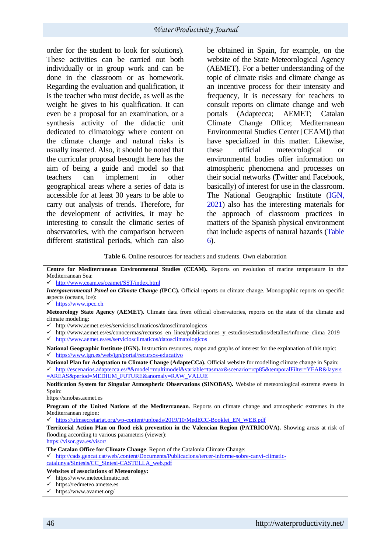order for the student to look for solutions). These activities can be carried out both individually or in group work and can be done in the classroom or as homework. Regarding the evaluation and qualification, it is the teacher who must decide, as well as the weight he gives to his qualification. It can even be a proposal for an examination, or a synthesis activity of the didactic unit dedicated to climatology where content on the climate change and natural risks is usually inserted. Also, it should be noted that the curricular proposal besought here has the aim of being a guide and model so that teachers can implement in other geographical areas where a series of data is accessible for at least 30 years to be able to carry out analysis of trends. Therefore, for the development of activities, it may be interesting to consult the climatic series of observatories, with the comparison between different statistical periods, which can also

be obtained in Spain, for example, on the website of the State Meteorological Agency (AEMET). For a better understanding of the topic of climate risks and climate change as an incentive process for their intensity and frequency, it is necessary for teachers to consult reports on climate change and web portals (Adaptecca; AEMET; Catalan Climate Change Office; Mediterranean Environmental Studies Center [CEAM]) that have specialized in this matter. Likewise, these official meteorological or environmental bodies offer information on atmospheric phenomena and processes on their social networks (Twitter and Facebook, basically) of interest for use in the classroom. The National Geographic Institute (IGN, 2021) also has the interesting materials for the approach of classroom practices in matters of the Spanish physical environment that include aspects of natural hazards (Table 6).

#### **Table 6.** Online resources for teachers and students. Own elaboration

**Centre for Mediterranean Environmental Studies (CEAM).** Reports on evolution of marine temperature in the Mediterranean Sea:

<http://www.ceam.es/ceamet/SST/index.html>

- <http://www.aemet.es/es/serviciosclimaticos/datosclimatologicos>
- [http://www.aemet.es/es/conocermas/recursos\\_en\\_linea/publicaciones\\_y\\_estudios/estudios/detalles/informe\\_clima\\_2019](http://www.aemet.es/es/conocermas/recursos_en_linea/publicaciones_y_estudios/estudios/detalles/informe_clima_2019)

<http://www.aemet.es/es/serviciosclimaticos/datosclimatologicos>

**National Geographic Institute (IGN).** Instruction resources, maps and graphs of interest for the explanation of this topic:  $\checkmark$  <https://www.ign.es/web/ign/portal/recursos-educativo>

**National Plan for Adaptation to Climate Change (AdapteCCa).** Official website for modelling climate change in Spain:

 [http://escenarios.adaptecca.es/#&model=multimodel&variable=tasmax&scenario=rcp85&temporalFilter=YEAR&layers](http://escenarios.adaptecca.es/#&model=multimodel&variable=tasmax&scenario=rcp85&temporalFilter=YEAR&layers=AREAS&period=MEDIUM_FUTURE&anomaly=RAW_VALUE) [=AREAS&period=MEDIUM\\_FUTURE&anomaly=RAW\\_VALUE](http://escenarios.adaptecca.es/#&model=multimodel&variable=tasmax&scenario=rcp85&temporalFilter=YEAR&layers=AREAS&period=MEDIUM_FUTURE&anomaly=RAW_VALUE)

**Notification System for Singular Atmospheric Observations (SINOBAS).** Website of meteorological extreme events in Spain:

[https://sinobas.aemet.es](https://sinobas.aemet.es/)

**Program of the United Nations of the Mediterranean**. Reports on climate change and atmospheric extremes in the Mediterranean region:

[https://ufmsecretariat.org/wp-content/uploads/2019/10/MedECC-Booklet\\_EN\\_WEB.pdf](https://ufmsecretariat.org/wp-content/uploads/2019/10/MedECC-Booklet_EN_WEB.pdf)

**Territorial Action Plan on flood risk prevention in the Valencian Region (PATRICOVA).** Showing areas at risk of flooding according to various parameters (viewer):

<https://visor.gva.es/visor/>

**The Catalan Office for Climate Change**. Report of the Catalonia Climate Change:

 [http://cads.gencat.cat/web/.content/Documents/Publicacions/tercer-informe-sobre-canvi-climatic](http://cads.gencat.cat/web/.content/Documents/Publicacions/tercer-informe-sobre-canvi-climatic-catalunya/Sintesis/CC_Sintesi-CASTELLA_web.pdf)[catalunya/Sintesis/CC\\_Sintesi-CASTELLA\\_web.pdf](http://cads.gencat.cat/web/.content/Documents/Publicacions/tercer-informe-sobre-canvi-climatic-catalunya/Sintesis/CC_Sintesi-CASTELLA_web.pdf)

#### **Websites of associations of Meteorology:**

- $\checkmark$  [https://www.meteoclimatic.net](https://www.meteoclimatic.net/)
- [https://redmeteo.ametse.es](https://redmeteo.ametse.es/)

*[Intergovernmental Panel on Climate Change](https://www.ipcc.ch/home_languages_main_spanish.shtml) (***IPCC).** Official reports on climate change. Monographic reports on specific aspects (oceans, ice):

 $\checkmark$  [https://www.ipcc.ch](https://www.ipcc.ch/)

**Meteorology State Agency (AEMET).** Climate data from official observatories, reports on the state of the climate and climate modeling:

<https://www.avamet.org/>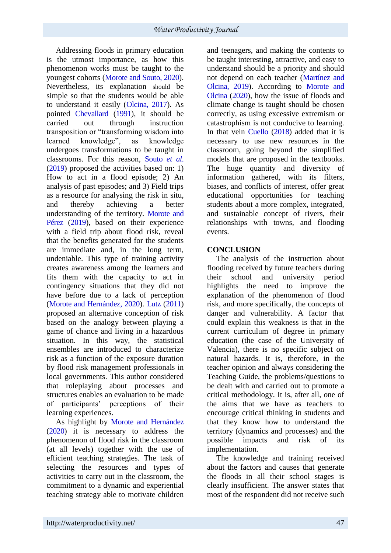Addressing floods in primary education is the utmost importance, as how this phenomenon works must be taught to the youngest cohorts (Morote and Souto, 2020). Nevertheless, its explanation should be simple so that the students would be able to understand it easily (Olcina, 2017). As pointed Chevallard (1991), it should be carried out through instruction transposition or "transforming wisdom into learned knowledge", as knowledge undergoes transformations to be taught in classrooms. For this reason, Souto *et al*. (2019) proposed the activities based on: 1) How to act in a flood episode; 2) An analysis of past episodes; and 3) Field trips as a resource for analysing the risk in situ, and thereby achieving a better understanding of the territory. Morote and Pérez (2019), based on their experience with a field trip about flood risk, reveal that the benefits generated for the students are immediate and, in the long term, undeniable. This type of training activity creates awareness among the learners and fits them with the capacity to act in contingency situations that they did not have before due to a lack of perception (Morote and Hernández, 2020). Lutz (2011) proposed an alternative conception of risk based on the analogy between playing a game of chance and living in a hazardous situation. In this way, the statistical ensembles are introduced to characterize risk as a function of the exposure duration by flood risk management professionals in local governments. This author considered that roleplaying about processes and structures enables an evaluation to be made of participants' perceptions of their learning experiences.

As highlight by Morote and Hernández (2020) it is necessary to address the phenomenon of flood risk in the classroom (at all levels) together with the use of efficient teaching strategies. The task of selecting the resources and types of activities to carry out in the classroom, the commitment to a dynamic and experiential teaching strategy able to motivate children

and teenagers, and making the contents to be taught interesting, attractive, and easy to understand should be a priority and should not depend on each teacher (Martínez and Olcina, 2019). According to Morote and Olcina (2020), how the issue of floods and climate change is taught should be chosen correctly, as using excessive extremism or catastrophism is not conducive to learning. In that vein Cuello (2018) added that it is necessary to use new resources in the classroom, going beyond the simplified models that are proposed in the textbooks. The huge quantity and diversity of information gathered, with its filters, biases, and conflicts of interest, offer great educational opportunities for teaching students about a more complex, integrated, and sustainable concept of rivers, their relationships with towns, and flooding events.

## **CONCLUSION**

The analysis of the instruction about flooding received by future teachers during their school and university period highlights the need to improve the explanation of the phenomenon of flood risk, and more specifically, the concepts of danger and vulnerability. A factor that could explain this weakness is that in the current curriculum of degree in primary education (the case of the University of Valencia), there is no specific subject on natural hazards. It is, therefore, in the teacher opinion and always considering the Teaching Guide, the problems/questions to be dealt with and carried out to promote a critical methodology. It is, after all, one of the aims that we have as teachers to encourage critical thinking in students and that they know how to understand the territory (dynamics and processes) and the possible impacts and risk of its implementation.

The knowledge and training received about the factors and causes that generate the floods in all their school stages is clearly insufficient. The answer states that most of the respondent did not receive such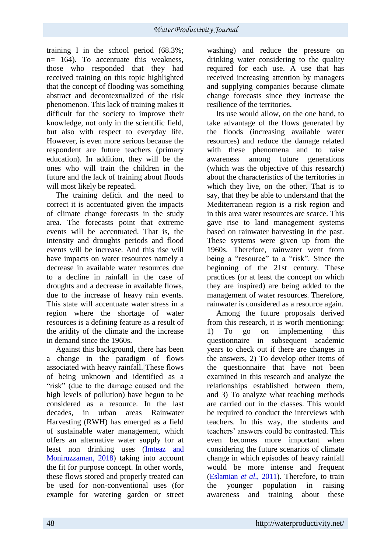training I in the school period (68.3%; n= 164). To accentuate this weakness, those who responded that they had received training on this topic highlighted that the concept of flooding was something abstract and decontextualized of the risk phenomenon. This lack of training makes it difficult for the society to improve their knowledge, not only in the scientific field, but also with respect to everyday life. However, is even more serious because the respondent are future teachers (primary education). In addition, they will be the ones who will train the children in the future and the lack of training about floods will most likely be repeated.

The training deficit and the need to correct it is accentuated given the impacts of climate change forecasts in the study area. The forecasts point that extreme events will be accentuated. That is, the intensity and droughts periods and flood events will be increase. And this rise will have impacts on water resources namely a decrease in available water resources due to a decline in rainfall in the case of droughts and a decrease in available flows, due to the increase of heavy rain events. This state will accentuate water stress in a region where the shortage of water resources is a defining feature as a result of the aridity of the climate and the increase in demand since the 1960s.

Against this background, there has been a change in the paradigm of flows associated with heavy rainfall. These flows of being unknown and identified as a "risk" (due to the damage caused and the high levels of pollution) have begun to be considered as a resource. In the last decades, in urban areas Rainwater Harvesting (RWH) has emerged as a field of sustainable water management, which offers an alternative water supply for at least non drinking uses (Imteaz and Moniruzzaman, 2018) taking into account the fit for purpose concept. In other words, these flows stored and properly treated can be used for non-conventional uses (for example for watering garden or street washing) and reduce the pressure on drinking water considering to the quality required for each use. A use that has received increasing attention by managers and supplying companies because climate change forecasts since they increase the resilience of the territories.

Its use would allow, on the one hand, to take advantage of the flows generated by the floods (increasing available water resources) and reduce the damage related with these phenomena and to raise awareness among future generations (which was the objective of this research) about the characteristics of the territories in which they live, on the other. That is to say, that they be able to understand that the Mediterranean region is a risk region and in this area water resources are scarce. This gave rise to land management systems based on rainwater harvesting in the past. These systems were given up from the 1960s. Therefore, rainwater went from being a "resource" to a "risk". Since the beginning of the 21st century. These practices (or at least the concept on which they are inspired) are being added to the management of water resources. Therefore, rainwater is considered as a resource again.

Among the future proposals derived from this research, it is worth mentioning: 1) To go on implementing this questionnaire in subsequent academic years to check out if there are changes in the answers, 2) To develop other items of the questionnaire that have not been examined in this research and analyze the relationships established between them, and 3) To analyze what teaching methods are carried out in the classes. This would be required to conduct the interviews with teachers. In this way, the students and teachers' answers could be contrasted. This even becomes more important when considering the future scenarios of climate change in which episodes of heavy rainfall would be more intense and frequent (Eslamian *et al*., 2011). Therefore, to train the younger population in raising awareness and training about these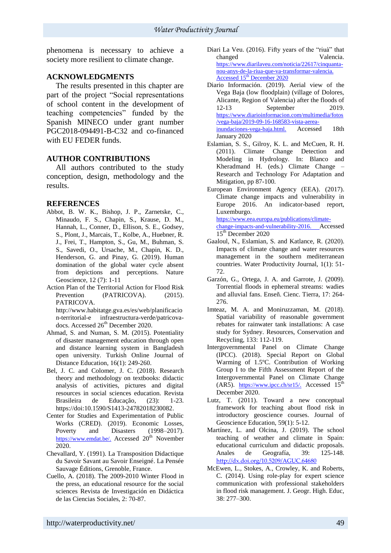phenomena is necessary to achieve a society more resilient to climate change.

## **ACKNOWLEDGMENTS**

The results presented in this chapter are part of the project "Social representations of school content in the development of teaching competencies" funded by the Spanish MINECO under grant number PGC2018-094491-B-C32 and co-financed with EU FEDER funds.

### **AUTHOR CONTRIBUTIONS**

All authors contributed to the study conception, design, methodology and the results.

## **REFERENCES**

- Abbot, B. W. K., Bishop, J. P., Zarnetske, C., Minaudo, F. S., Chapin, S., Krause, D. M., Hannah, L., Conner, D., Ellison, S. E., Godsey, S., Plont, J., Marcais, T., Kolbe, A., Huebner, R. J., Frei, T., Hampton, S., Gu, M., Buhman, S. S., Savedi, O., Ursache, M., Chapin, K. D., Henderson, G. and Pinay, G. (2019). Human domination of the global water cycle absent from depictions and perceptions. Nature Geoscience, 12 (7): 1-11
- Action Plan of the Territorial Action for Flood Risk Prevention (PATRICOVA). (2015). PATRICOVA.

http://www.habitatge.gva.es/es/web/planificacio n-territorial-e infraestructura-verde/patricovadocs. Accessed 26<sup>th</sup> December 2020.

- Ahmad, S. and Numan, S. M. (2015). Potentiality of disaster management education through open and distance learning system in Bangladesh open university. [Turkish Online Journal of](https://www.scopus.com/sourceid/23858?origin=recordpage)  [Distance Education,](https://www.scopus.com/sourceid/23858?origin=recordpage) 16(1): 249-260.
- Bel, J. C. and Colomer, J. C. (2018). Research theory and methodology on textbooks: didactic analysis of activities, pictures and digital resources in social sciences education. Revista Brasileira de Educação, (23): 1-23. https:/[/doi:10.1590/S1413-24782018230082.](http://dx.doi.org/10.1590/S1413-24782018230082)
- Center for Studies and Experimentation of Public Works (CRED). (2019). Economic Losses, Poverty and Disasters (1998–2017). https://www.emdat.be/. Accessed 20<sup>th</sup> November 2020.
- Chevallard, Y. (1991). La Transposition Didactique du Savoir Savant au Savoir Enseigné. La Pensée Sauvage Éditions, Grenoble, France.
- Cuello, A. (2018). The 2009-2010 Winter Flood in the press, an educational resource for the social sciences Revista de Investigación en Didáctica de las Ciencias Sociales, 2: 70-87.
- Diari La Veu. (2016). Fifty years of the "riuà" that changed Valencia. [https://www.diarilaveu.com/noticia/22617/cinquanta](https://www.diarilaveu.com/noticia/22617/cinquanta-nou-anys-de-la-riua-que-va-transformar-valencia.%20Accessed%2015th%20December%202020)[nou-anys-de-la-riua-que-va-transformar-valencia.](https://www.diarilaveu.com/noticia/22617/cinquanta-nou-anys-de-la-riua-que-va-transformar-valencia.%20Accessed%2015th%20December%202020)  Accessed 15<sup>th</sup> [December 2020](https://www.diarilaveu.com/noticia/22617/cinquanta-nou-anys-de-la-riua-que-va-transformar-valencia.%20Accessed%2015th%20December%202020)
- Diario Información. (2019). Aerial view of the Vega Baja (low floodplain) (village of Dolores, Alicante, Region of Valencia) after the floods of 12-13 September 2019. [https://www.diarioinformacion.com/multimedia/fotos](https://www.diarioinformacion.com/multimedia/fotos/vega-baja/2019-09-16-168583-vista-aerea-inundaciones-vega-baja.html) [/vega-baja/2019-09-16-168583-vista-aerea](https://www.diarioinformacion.com/multimedia/fotos/vega-baja/2019-09-16-168583-vista-aerea-inundaciones-vega-baja.html)[inundaciones-vega-baja.html.](https://www.diarioinformacion.com/multimedia/fotos/vega-baja/2019-09-16-168583-vista-aerea-inundaciones-vega-baja.html) Accessed 18th January 2020
- Eslamian, S. S., Gilroy, K. L. and McCuen, R. H. (2011). Climate Change Detection and Modeling in Hydrology. In: Blanco and Kheradmand H. (eds.) Climate Change – Research and Technology For Adaptation and Mitigation, pp 87-100.
- European Environment Agency (EEA). (2017). Climate change impacts and vulnerability in Europe 2016. An indicator-based report, Luxemburgo. [https://www.eea.europa.eu/publications/climate](https://www.eea.europa.eu/publications/climate-change-impacts-and-vulnerability-2016)[change-impacts-and-vulnerability-2016.](https://www.eea.europa.eu/publications/climate-change-impacts-and-vulnerability-2016) Accessed 15<sup>th</sup> December 2020
- Gaaloul, N., Eslamian, S. and Katlance, R. (2020). Impacts of climate change and water resources management in the southern mediterranean countries. Water Productivity Journal, 1(1): 51- 72.
- Garzón, G., Ortega, J. A. and Garrote, J. (2009). Torrential floods in ephemeral streams: wadies and alluvial fans. Enseñ. Cienc. Tierra, 17: 264- 276.
- Imteaz, M. A. and Moniruzzaman, M. (2018). Spatial variability of reasonable government rebates for rainwater tank installations: A case study for Sydney. Resources, Conservation and Recycling, 133: 112-119.
- Intergovernmental Panel on Climate Change (IPCC). (2018). Special Report on Global Warming of 1.5ºC. Contribution of Working Group I to the Fifth Assessment Report of the Intergovernmental Panel on Climate Change (AR5). [https://www.ipcc.ch/sr15/.](https://www.ipcc.ch/sr15/) Accessed  $15<sup>th</sup>$ December 2020.
- Lutz, T. (2011). Toward a new conceptual framework for teaching about flood risk in introductory geoscience courses. [Journal of](https://www.scopus.com/sourceid/24418?origin=recordpage)  [Geoscience Education,](https://www.scopus.com/sourceid/24418?origin=recordpage) 59(1): 5-12.
- Martínez, L. and Olcina, J. (2019). The school teaching of weather and climate in Spain: educational curriculum and didactic proposals. Anales de Geografía, 39: 125-148. <http://dx.doi.org/10.5209/AGUC.64680>
- McEwen, L., Stokes, A., Crowley, K. and Roberts, C. (2014). Using role-play for expert science communication with professional stakeholders in flood risk management. J. Geogr. High. Educ, 38: 277–300.